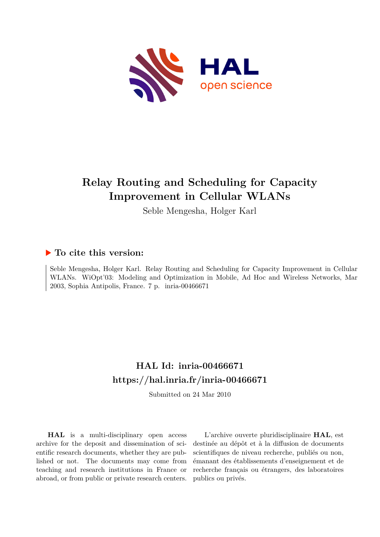

# **Relay Routing and Scheduling for Capacity Improvement in Cellular WLANs**

Seble Mengesha, Holger Karl

## **To cite this version:**

Seble Mengesha, Holger Karl. Relay Routing and Scheduling for Capacity Improvement in Cellular WLANs. WiOpt'03: Modeling and Optimization in Mobile, Ad Hoc and Wireless Networks, Mar 2003, Sophia Antipolis, France. 7 p. inria-00466671

## **HAL Id: inria-00466671 <https://hal.inria.fr/inria-00466671>**

Submitted on 24 Mar 2010

**HAL** is a multi-disciplinary open access archive for the deposit and dissemination of scientific research documents, whether they are published or not. The documents may come from teaching and research institutions in France or abroad, or from public or private research centers.

L'archive ouverte pluridisciplinaire **HAL**, est destinée au dépôt et à la diffusion de documents scientifiques de niveau recherche, publiés ou non, émanant des établissements d'enseignement et de recherche français ou étrangers, des laboratoires publics ou privés.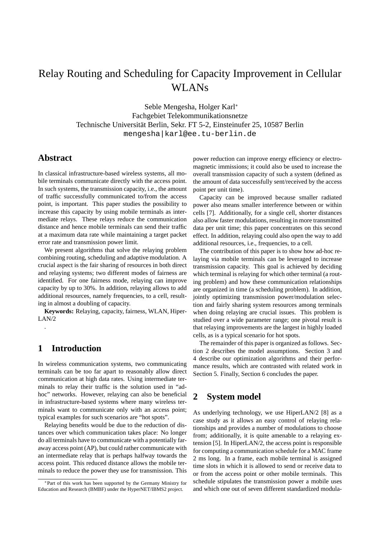## Relay Routing and Scheduling for Capacity Improvement in Cellular WLANs

Seble Mengesha, Holger Karl<sup>∗</sup> Fachgebiet Telekommunikationsnetze Technische Universität Berlin, Sekr. FT 5-2, Einsteinufer 25, 10587 Berlin mengesha|karl@ee.tu-berlin.de

### **Abstract**

In classical infrastructure-based wireless systems, all mobile terminals communicate directly with the access point. In such systems, the transmission capacity, i.e., the amount of traffic successfully communicated to/from the access point, is important. This paper studies the possibility to increase this capacity by using mobile terminals as intermediate relays. These relays reduce the communication distance and hence mobile terminals can send their traffic at a maximum data rate while maintaining a target packet error rate and transmission power limit.

We present algorithms that solve the relaying problem combining routing, scheduling and adaptive modulation. A crucial aspect is the fair sharing of resources in both direct and relaying systems; two different modes of fairness are identified. For one fairness mode, relaying can improve capacity by up to 30%. In addition, relaying allows to add additional resources, namely frequencies, to a cell, resulting in almost a doubling of capacity.

**Keywords:** Relaying, capacity, fairness, WLAN, Hiper-LAN/2

## **1 Introduction**

.

In wireless communication systems, two communicating terminals can be too far apart to reasonably allow direct communication at high data rates. Using intermediate terminals to relay their traffic is the solution used in "adhoc" networks. However, relaying can also be beneficial in infrastructure-based systems where many wireless terminals want to communicate only with an access point; typical examples for such scenarios are "hot spots".

Relaying benefits would be due to the reduction of distances over which communication takes place: No longer do all terminals have to communicate with a potentially faraway access point (AP), but could rather communicate with an intermediate relay that is perhaps halfway towards the access point. This reduced distance allows the mobile terminals to reduce the power they use for transmission. This power reduction can improve energy efficiency or electromagnetic immissions; it could also be used to increase the overall transmission capacity of such a system (defined as the amount of data successfully sent/received by the access point per unit time).

Capacity can be improved because smaller radiated power also means smaller interference between or within cells [7]. Additionally, for a single cell, shorter distances also allow faster modulations, resulting in more transmitted data per unit time; this paper concentrates on this second effect. In addition, relaying could also open the way to add additional resources, i.e., frequencies, to a cell.

The contribution of this paper is to show how ad-hoc relaying via mobile terminals can be leveraged to increase transmission capacity. This goal is achieved by deciding which terminal is relaying for which other terminal (a routing problem) and how these communication relationships are organized in time (a scheduling problem). In addition, jointly optimizing transmission power/modulation selection and fairly sharing system resources among terminals when doing relaying are crucial issues. This problem is studied over a wide parameter range; one pivotal result is that relaying improvements are the largest in highly loaded cells, as is a typical scenario for hot spots.

The remainder of this paper is organized as follows. Section 2 describes the model assumptions. Section 3 and 4 describe our optimization algorithms and their performance results, which are contrasted with related work in Section 5. Finally, Section 6 concludes the paper.

## **2 System model**

As underlying technology, we use HiperLAN/2 [8] as a case study as it allows an easy control of relaying relationships and provides a number of modulations to choose from; additionally, it is quite amenable to a relaying extension [5]. In HiperLAN/2, the access point is responsible for computing a communication schedule for a MAC frame 2 ms long. In a frame, each mobile terminal is assigned time slots in which it is allowed to send or receive data to or from the access point or other mobile terminals. This schedule stipulates the transmission power a mobile uses and which one out of seven different standardized modula-

<sup>∗</sup>Part of this work has been supported by the Germany Ministry for Education and Research (BMBF) under the HyperNET/IBMS2 project.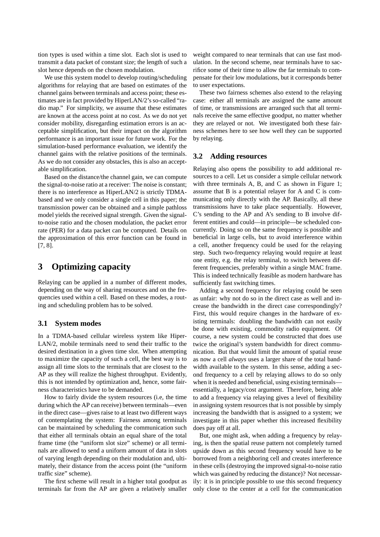tion types is used within a time slot. Each slot is used to transmit a data packet of constant size; the length of such a slot hence depends on the chosen modulation.

We use this system model to develop routing/scheduling algorithms for relaying that are based on estimates of the channel gains between terminals and access point; these estimates are in fact provided by HiperLAN/2's so-called "radio map." For simplicity, we assume that these estimates are known at the access point at no cost. As we do not yet consider mobility, disregarding estimation errors is an acceptable simplification, but their impact on the algorithm performance is an important issue for future work. For the simulation-based performance evaluation, we identify the channel gains with the relative positions of the terminals. As we do not consider any obstacles, this is also an acceptable simplification.

Based on the distance/the channel gain, we can compute the signal-to-noise ratio at a receiver: The noise is constant; there is no interference as HiperLAN/2 is strictly TDMAbased and we only consider a single cell in this paper; the transmission power can be obtained and a simple pathloss model yields the received signal strength. Given the signalto-noise ratio and the chosen modulation, the packet error rate (PER) for a data packet can be computed. Details on the approximation of this error function can be found in [7, 8].

## **3 Optimizing capacity**

Relaying can be applied in a number of different modes, depending on the way of sharing resources and on the frequencies used within a cell. Based on these modes, a routing and scheduling problem has to be solved.

#### **3.1 System modes**

In a TDMA-based cellular wireless system like Hiper-LAN/2, mobile terminals need to send their traffic to the desired destination in a given time slot. When attempting to maximize the capacity of such a cell, the best way is to assign all time slots to the terminals that are closest to the AP as they will realize the highest throughput. Evidently, this is not intended by optimization and, hence, some fairness characteristics have to be demanded.

How to fairly divide the system resources (i.e, the time during which the AP can receive) between terminals—even in the direct case—gives raise to at least two different ways of contemplating the system: Fairness among terminals can be maintained by scheduling the communication such that either all terminals obtain an equal share of the total frame time (the "uniform slot size" scheme) or all terminals are allowed to send a uniform amount of data in slots of varying length depending on their modulation and, ultimately, their distance from the access point (the "uniform traffic size" scheme).

The first scheme will result in a higher total goodput as terminals far from the AP are given a relatively smaller

weight compared to near terminals that can use fast modulation. In the second scheme, near terminals have to sacrifice some of their time to allow the far terminals to compensate for their low modulations, but it corresponds better to user expectations.

These two fairness schemes also extend to the relaying case: either all terminals are assigned the same amount of time, or transmissions are arranged such that all terminals receive the same effective goodput, no matter whether they are relayed or not. We investigated both these fairness schemes here to see how well they can be supported by relaying.

#### **3.2 Adding resources**

Relaying also opens the possibility to add additional resources to a cell. Let us consider a simple cellular network with three terminals A, B, and C as shown in Figure 1; assume that B is a potential relayer for A and C is communicating only directly with the AP. Basically, all these transmissions have to take place sequentially. However, C's sending to the AP and A's sending to B involve different entities and could—in principle—be scheduled concurrently. Doing so on the same frequency is possible and beneficial in large cells, but to avoid interference within a cell, another frequency could be used for the relaying step. Such two-frequency relaying would require at least one entity, e.g. the relay terminal, to switch between different frequencies, preferably within a single MAC frame. This is indeed technically feasible as modern hardware has sufficiently fast switching times.

Adding a second frequency for relaying could be seen as unfair: why not do so in the direct case as well and increase the bandwidth in the direct case correspondingly? First, this would require changes in the hardware of existing terminals: doubling the bandwidth can not easily be done with existing, commodity radio equipment. Of course, a new system could be constructed that does use twice the original's system bandwidth for direct communication. But that would limit the amount of spatial reuse as now a cell *always* uses a larger share of the total bandwidth available to the system. In this sense, adding a second frequency to a cell by relaying allows to do so only when it is needed and beneficial, using existing terminals essentially, a legacy/cost argument. Therefore, being able to add a frequency via relaying gives a level of flexibility in assigning system resources that is not possible by simply increasing the bandwidth that is assigned to a system; we investigate in this paper whether this increased flexibility does pay off at all.

But, one might ask, when adding a frequency by relaying, is then the spatial reuse pattern not completely turned upside down as this second frequency would have to be borrowed from a neighboring cell and creates interference in these cells (destroying the improved signal-to-noise ratio which was gained by reducing the distance)? Not necessarily: it is in principle possible to use this second frequency only close to the center at a cell for the communication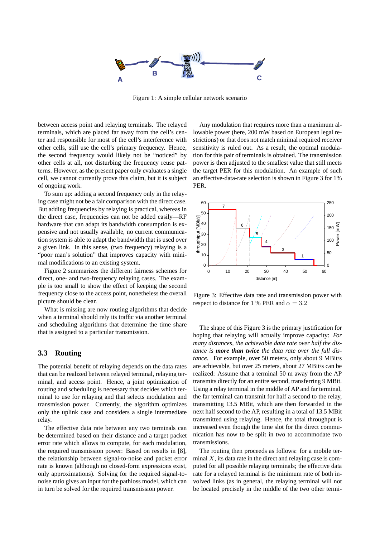

Figure 1: A simple cellular network scenario

between access point and relaying terminals. The relayed terminals, which are placed far away from the cell's center and responsible for most of the cell's interference with other cells, still use the cell's primary frequency. Hence, the second frequency would likely not be "noticed" by other cells at all, not disturbing the frequency reuse patterns. However, as the present paper only evaluates a single cell, we cannot currently prove this claim, but it is subject of ongoing work.

To sum up: adding a second frequency only in the relaying case might not be a fair comparison with the direct case. But adding frequencies by relaying is practical, whereas in the direct case, frequencies can not be added easily—RF hardware that can adapt its bandwidth consumption is expensive and not usually available, no current communication system is able to adapt the bandwidth that is used over a given link. In this sense, (two frequency) relaying is a "poor man's solution" that improves capacity with minimal modifications to an existing system.

Figure 2 summarizes the different fairness schemes for direct, one- and two-frequency relaying cases. The example is too small to show the effect of keeping the second frequency close to the access point, nonetheless the overall picture should be clear.

What is missing are now routing algorithms that decide when a terminal should rely its traffic via another terminal and scheduling algorithms that determine the time share that is assigned to a particular transmission.

#### **3.3 Routing**

The potential benefit of relaying depends on the data rates that can be realized between relayed terminal, relaying terminal, and access point. Hence, a joint optimization of routing and scheduling is necessary that decides which terminal to use for relaying and that selects modulation and transmission power. Currently, the algorithm optimizes only the uplink case and considers a single intermediate relay.

The effective data rate between any two terminals can be determined based on their distance and a target packet error rate which allows to compute, for each modulation, the required transmission power: Based on results in [8], the relationship between signal-to-noise and packet error rate is known (although no closed-form expressions exist, only approximations). Solving for the required signal-tonoise ratio gives an input for the pathloss model, which can in turn be solved for the required transmission power.

Any modulation that requires more than a maximum allowable power (here, 200 mW based on European legal restrictions) or that does not match minimal required receiver sensitivity is ruled out. As a result, the optimal modulation for this pair of terminals is obtained. The transmission power is then adjusted to the smallest value that still meets the target PER for this modulation. An example of such an effective-data-rate selection is shown in Figure 3 for 1% PER.



Figure 3: Effective data rate and transmission power with respect to distance for 1 % PER and  $\alpha = 3.2$ 

The shape of this Figure 3 is the primary justification for hoping that relaying will actually improve capacity: *For many distances, the achievable data rate over half the distance is more than twice the data rate over the full distance.* For example, over 50 meters, only about 9 MBit/s are achievable, but over 25 meters, about 27 MBit/s can be realized: Assume that a terminal 50 m away from the AP transmits directly for an entire second, transferring 9 MBit. Using a relay terminal in the middle of AP and far terminal, the far terminal can transmit for half a second to the relay, transmitting 13.5 MBit, which are then forwarded in the next half second to the AP, resulting in a total of 13.5 MBit transmitted using relaying. Hence, the total throughput is increased even though the time slot for the direct communication has now to be split in two to accommodate two transmissions.

The routing then proceeds as follows: for a mobile terminal  $X$ , its data rate in the direct and relaying case is computed for all possible relaying terminals; the effective data rate for a relayed terminal is the minimum rate of both involved links (as in general, the relaying terminal will not be located precisely in the middle of the two other termi-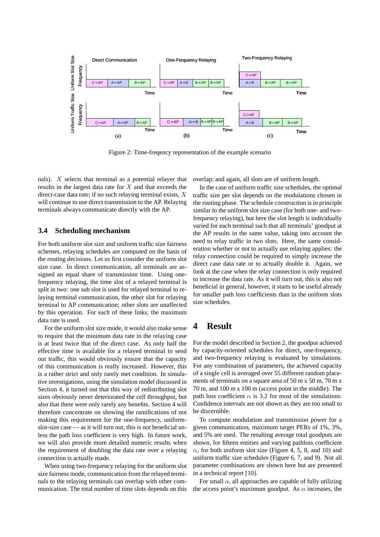

Figure 2: Time-freqency representation of the example scenario

nals). X selects that terminal as a potential relayer that results in the largest data rate for  $X$  and that exceeds the direct-case data rate; if no such relaying terminal exists,  $X$ will continue to use direct transmission to the AP. Relaying terminals always communicate directly with the AP.

#### **3.4 Scheduling mechanism**

For both uniform slot size and uniform traffic size fairness schemes, relaying schedules are computed on the basis of the routing decisions. Let us first consider the uniform slot size case. In direct communication, all terminals are assigned an equal share of transmission time. Using onefrequency relaying, the time slot of a relayed terminal is split in two: one sub slot is used for relayed terminal to relaying terminal communication, the other slot for relaying terminal to AP communication; other slots are unaffected by this operation. For each of these links, the maximum data rate is used.

For the uniform slot size mode, it would also make sense to require that the minimum data rate in the relaying case is at least twice that of the direct case. As only half the effective time is available for a relayed terminal to send out traffic, this would obviously ensure that the capacity of this communication is really increased. However, this is a rather strict and only rarely met condition. In simulative investigations, using the simulation model discussed in Section 4, it turned out that this way of redistributing slot sizes obviously never deteriorated the cell throughput, but also that there were only rarely any benefits. Section 4 will therefore concentrate on showing the ramifications of not making this requirement for the one-frequency, uniformslot-size case — as it will turn out, this is not beneficial unless the path loss coefficient is very high. In future work, we will also provide more detailed numeric results when the requirement of doubling the data rate over a relaying connection is actually made.

When using two-frequency relaying for the uniform slot size fairness mode, communication from the relayed terminals to the relaying terminals can overlap with other communication. The total number of time slots depends on this overlap; and again, all slots are of uniform length.

In the case of uniform traffic size schedules, the optimal traffic size per slot depends on the modulations chosen in the routing phase. The schedule construction is in principle similar to the uniform slot size case (for both one- and twofrequency relaying), but here the slot length is individually varied for each terminal such that all terminals' goodput at the AP results in the same value, taking into account the need to relay traffic in two slots. Here, the same consideration whether or not to actually use relaying applies: the relay connection could be required to simply increase the direct case data rate or to actually double it. Again, we look at the case when the relay connection is only required to increase the data rate. As it will turn out, this is also not beneficial in general, however, it starts to be useful already for smaller path loss coefficients than in the uniform slots size schedules.

## **4 Result**

For the model described in Section 2, the goodput achieved by capacity-oriented schedules for direct, one-frequency, and two-frequency relaying is evaluated by simulations. For any combination of parameters, the achieved capacity of a single cell is averaged over 55 different random placements of terminals on a square area of 50 m x 50 m, 70 m x 70 m, and 100 m x 100 m (access point in the middle). The path loss coefficient  $\alpha$  is 3.2 for most of the simulations. Confidence intervals are not shown as they are too small to be discernible.

To compute modulation and transmission power for a given communication, maximum target PERs of 1%, 3%, and 5% are used. The resulting average total goodputs are shown, for fifteen entities and varying pathloss coefficient  $\alpha$ , for both uniform slot size (Figure 4, 5, 8, and 10) and uniform traffic size schedules (Figure 6, 7, and 9). Not all parameter combinations are shown here but are presented in a technical report [10].

For small  $\alpha$ , all approaches are capable of fully utilizing the access point's maximum goodput. As  $\alpha$  increases, the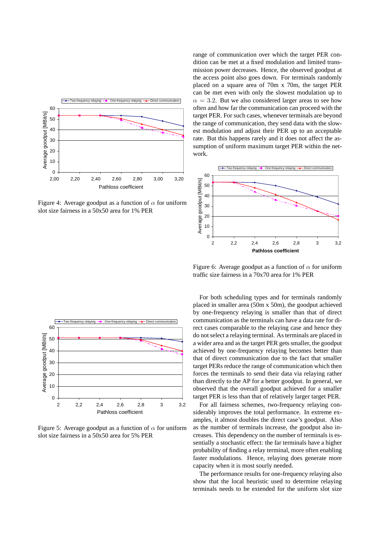

Figure 4: Average goodput as a function of  $\alpha$  for uniform slot size fairness in a 50x50 area for 1% PER

range of communication over which the target PER condition can be met at a fixed modulation and limited transmission power decreases. Hence, the observed goodput at the access point also goes down. For terminals randomly placed on a square area of 70m x 70m, the target PER can be met even with only the slowest modulation up to  $\alpha = 3.2$ . But we also considered larger areas to see how often and how far the communication can proceed with the target PER. For such cases, whenever terminals are beyond the range of communication, they send data with the slowest modulation and adjust their PER up to an acceptable rate. But this happens rarely and it does not affect the assumption of uniform maximum target PER within the network.



Figure 6: Average goodput as a function of  $\alpha$  for uniform traffic size fairness in a 70x70 area for 1% PER



Figure 5: Average goodput as a function of  $\alpha$  for uniform slot size fairness in a 50x50 area for 5% PER

For both scheduling types and for terminals randomly placed in smaller area (50m x 50m), the goodput achieved by one-frequency relaying is smaller than that of direct communication as the terminals can have a data rate for direct cases comparable to the relaying case and hence they do not select a relaying terminal. As terminals are placed in a wider area and as the target PER gets smaller, the goodput achieved by one-frequency relaying becomes better than that of direct communication due to the fact that smaller target PERs reduce the range of communication which then forces the terminals to send their data via relaying rather than directly to the AP for a better goodput. In general, we observed that the overall goodput achieved for a smaller target PER is less than that of relatively larger target PER.

For all fairness schemes, two-frequency relaying considerably improves the total performance. In extreme examples, it almost doubles the direct case's goodput. Also as the number of terminals increase, the goodput also increases. This dependency on the number of terminals is essentially a stochastic effect: the far terminals have a higher probability of finding a relay terminal, more often enabling faster modulations. Hence, relaying does generate more capacity when it is most sourly needed.

The performance results for one-frequency relaying also show that the local heuristic used to determine relaying terminals needs to be extended for the uniform slot size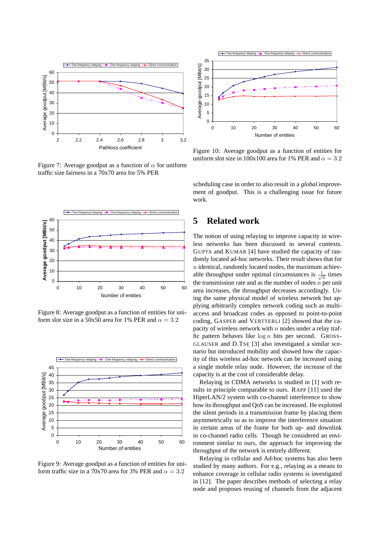

Figure 7: Average goodput as a function of  $\alpha$  for uniform traffic size fairness in a 70x70 area for 5% PER



Figure 8: Average goodput as a function of entities for uniform slot size in a 50x50 area for 1% PER and  $\alpha = 3.2$ 



Figure 9: Average goodput as a function of entities for uniform traffic size in a 70x70 area for 3% PER and  $\alpha = 3.2$ 



Figure 10: Average goodput as a function of entities for uniform slot size in 100x100 area for 1% PER and  $\alpha = 3.2$ 

scheduling case in order to also result in a *global* improvement of goodput. This is a challenging issue for future work.

## **5 Related work**

The notion of using relaying to improve capacity in wireless networks has been discussed in several contexts. GUPTA and KUMAR [4] have studied the capacity of randomly located ad-hoc networks. Their result shows that for  $n$  identical, randomly located nodes, the maximum achievable throughput under optimal circumstances is  $\frac{1}{\sqrt{n}}$  times the transmission rate and as the number of nodes  $\dot{n}$  per unit area increases, the throughput decreases accordingly. Using the same physical model of wireless network but applying arbitrarily complex network coding such as multiaccess and broadcast codes as opposed to point-to-point coding, GASPER and VERTTERLI [2] showed that the capacity of wireless network with  $n$  nodes under a relay traffic pattern behaves like  $\log n$  bits per second. GROSS-GLAUSER and D.TSE [3] also investigated a similar scenario but introduced mobility and showed how the capacity of this wireless ad-hoc network can be increased using a single mobile relay node. However, the increase of the capacity is at the cost of considerable delay.

Relaying in CDMA networks is studied in [1] with results in principle comparable to ours. RAPP [11] used the HiperLAN/2 system with co-channel interference to show how its throughput and QoS can be increased. He exploited the silent periods in a transmission frame by placing them asymmetrically so as to improve the interference situation in certain areas of the frame for both up- and downlink in co-channel radio cells. Though he considered an environment similar to ours, the approach for improving the throughput of the network is entirely different.

Relaying in cellular and Ad-hoc systems has also been studied by many authors. For e.g., relaying as a means to enhance coverage in cellular radio systems is investigated in [12]. The paper describes methods of selecting a relay node and proposes reusing of channels from the adjacent